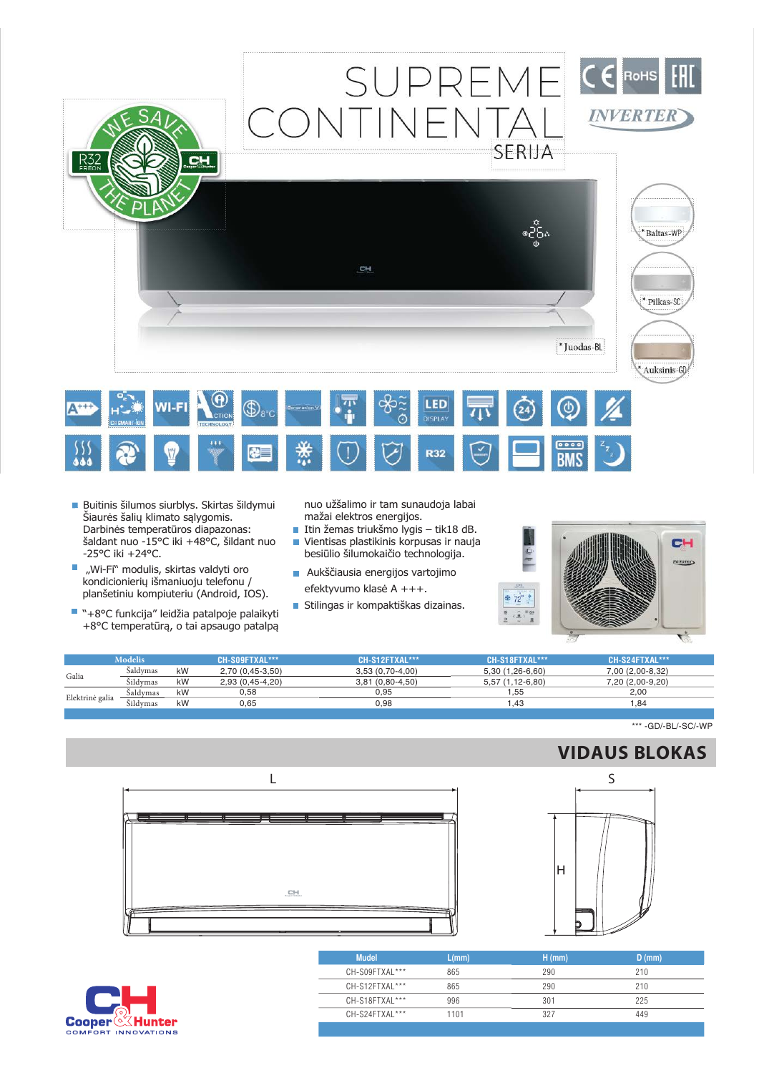

- Buitinis šilumos siurblys. Skirtas šildymui Šiaurės šalių klimato sąlygomis. Darbinės temperatūros diapazonas: šaldant nuo -15°C iki +48°C, šildant nuo -25°C iki +24°C.
- "Wi-Fi" modulis, skirtas valdyti oro kondicionierių išmaniuoju telefonu / planšetiniu kompiuteriu (Android, IOS).
- "+8°C funkcija" leidžia patalpoje palaikyti +8°C temperatūrą, o tai apsaugo patalpą

nuo užšalimo ir tam sunaudoja labai mažai elektros energijos.

**R32** 

- Itin žemas triukšmo lygis tik18 dB. ■ Vientisas plastikinis korpusas ir nauja besiūlio šilumokaičio technologija.
- Aukščiausia energijos vartojimo efektyvumo klasė A +++.
- Stilingas ir kompaktiškas dizainas.



 $0000$ 

**BMS** 

| <b>Modelis</b>  |          |    | CH-SO9FTXAL***    | CH-S12FTXAL***    | CH-S18FTXAL***    | CH-S24FTXAL***   |
|-----------------|----------|----|-------------------|-------------------|-------------------|------------------|
| Galia           | Šaldymas | kW | 2,70 (0,45-3,50)  | $3,53(0,70-4,00)$ | 5,30 (1,26-6,60)  | 7,00 (2,00-8,32) |
|                 | Šildvmas | kW | $2.93(0.45-4.20)$ | $3,81(0,80-4,50)$ | $5.57(1.12-6.80)$ | 7,20 (2,00-9,20) |
| Elektrinė galia | Saldvmas | kW | 0.58              | 0.95              | . 55              | 2.00             |
|                 | Šildymas | kW | 0.65              | 0.98              | .43               | .84              |

\*\*\* -GD/-BL/-SC/-WP

## **VIDAUS BLOKAS**



Г





| <b>Mudel</b>   | L/mm | $H$ (mm) | $D$ (mm) |
|----------------|------|----------|----------|
| CH-SO9FTXAL*** | 865  | 290      | 210      |
| CH-S12FTXAL*** | 865  | 290      | 210      |
| CH-S18FTXAL*** | 996  | 301      | 225      |
| CH-S24FTXAL*** | 1101 | 327      | 449      |
|                |      |          |          |